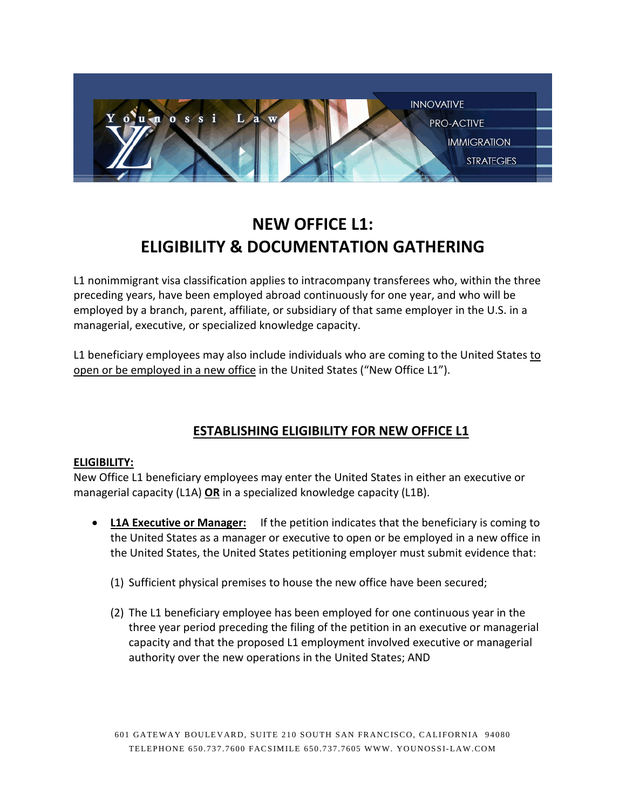

# **NEW OFFICE L1: ELIGIBILITY & DOCUMENTATION GATHERING**

L1 nonimmigrant visa classification applies to intracompany transferees who, within the three preceding years, have been employed abroad continuously for one year, and who will be employed by a branch, parent, affiliate, or subsidiary of that same employer in the U.S. in a managerial, executive, or specialized knowledge capacity.

L1 beneficiary employees may also include individuals who are coming to the United States to open or be employed in a new office in the United States ("New Office L1").

## **ESTABLISHING ELIGIBILITY FOR NEW OFFICE L1**

#### **ELIGIBILITY:**

New Office L1 beneficiary employees may enter the United States in either an executive or managerial capacity (L1A) **OR** in a specialized knowledge capacity (L1B).

- **L1A Executive or Manager:** If the petition indicates that the beneficiary is coming to the United States as a manager or executive to open or be employed in a new office in the United States, the United States petitioning employer must submit evidence that:
	- (1) Sufficient physical premises to house the new office have been secured;
	- (2) The L1 beneficiary employee has been employed for one continuous year in the three year period preceding the filing of the petition in an executive or managerial capacity and that the proposed L1 employment involved executive or managerial authority over the new operations in the United States; AND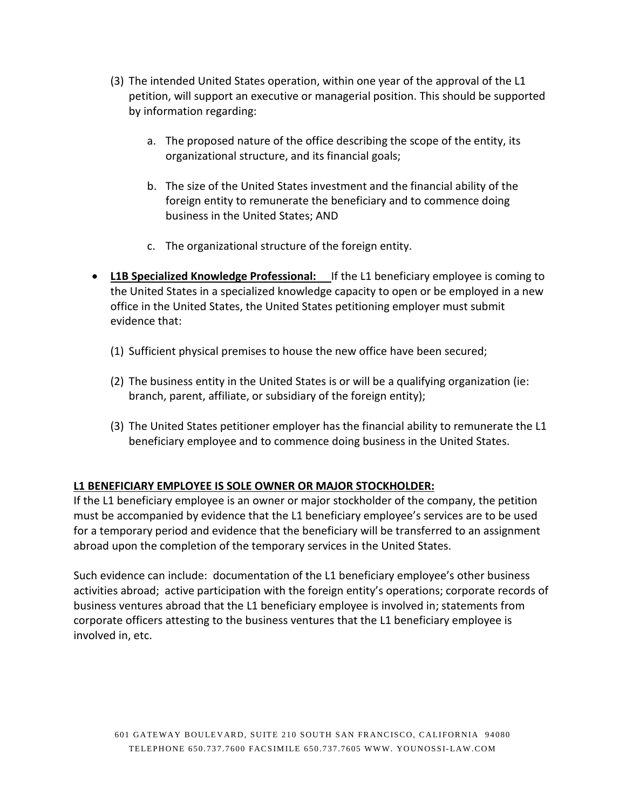- (3) The intended United States operation, within one year of the approval of the L1 petition, will support an executive or managerial position. This should be supported by information regarding:
	- a. The proposed nature of the office describing the scope of the entity, its organizational structure, and its financial goals;
	- b. The size of the United States investment and the financial ability of the foreign entity to remunerate the beneficiary and to commence doing business in the United States; AND
	- c. The organizational structure of the foreign entity.
- **L1B Specialized Knowledge Professional:** If the L1 beneficiary employee is coming to the United States in a specialized knowledge capacity to open or be employed in a new office in the United States, the United States petitioning employer must submit evidence that:
	- (1) Sufficient physical premises to house the new office have been secured;
	- (2) The business entity in the United States is or will be a qualifying organization (ie: branch, parent, affiliate, or subsidiary of the foreign entity);
	- (3) The United States petitioner employer has the financial ability to remunerate the L1 beneficiary employee and to commence doing business in the United States.

#### **L1 BENEFICIARY EMPLOYEE IS SOLE OWNER OR MAJOR STOCKHOLDER:**

If the L1 beneficiary employee is an owner or major stockholder of the company, the petition must be accompanied by evidence that the L1 beneficiary employee's services are to be used for a temporary period and evidence that the beneficiary will be transferred to an assignment abroad upon the completion of the temporary services in the United States.

Such evidence can include: documentation of the L1 beneficiary employee's other business activities abroad; active participation with the foreign entity's operations; corporate records of business ventures abroad that the L1 beneficiary employee is involved in; statements from corporate officers attesting to the business ventures that the L1 beneficiary employee is involved in, etc.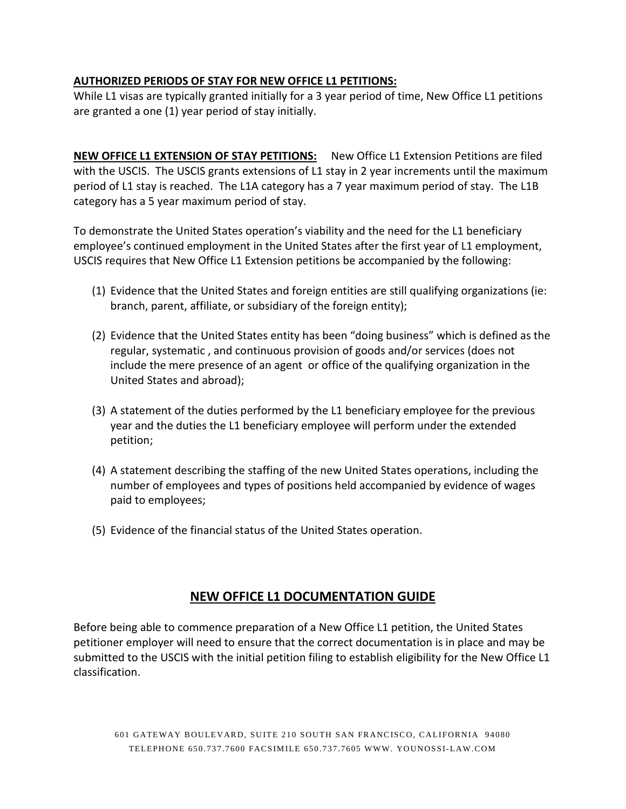#### **AUTHORIZED PERIODS OF STAY FOR NEW OFFICE L1 PETITIONS:**

While L1 visas are typically granted initially for a 3 year period of time, New Office L1 petitions are granted a one (1) year period of stay initially.

**NEW OFFICE L1 EXTENSION OF STAY PETITIONS:** New Office L1 Extension Petitions are filed with the USCIS. The USCIS grants extensions of L1 stay in 2 year increments until the maximum period of L1 stay is reached. The L1A category has a 7 year maximum period of stay. The L1B category has a 5 year maximum period of stay.

To demonstrate the United States operation's viability and the need for the L1 beneficiary employee's continued employment in the United States after the first year of L1 employment, USCIS requires that New Office L1 Extension petitions be accompanied by the following:

- (1) Evidence that the United States and foreign entities are still qualifying organizations (ie: branch, parent, affiliate, or subsidiary of the foreign entity);
- (2) Evidence that the United States entity has been "doing business" which is defined as the regular, systematic , and continuous provision of goods and/or services (does not include the mere presence of an agent or office of the qualifying organization in the United States and abroad);
- (3) A statement of the duties performed by the L1 beneficiary employee for the previous year and the duties the L1 beneficiary employee will perform under the extended petition;
- (4) A statement describing the staffing of the new United States operations, including the number of employees and types of positions held accompanied by evidence of wages paid to employees;
- (5) Evidence of the financial status of the United States operation.

## **NEW OFFICE L1 DOCUMENTATION GUIDE**

Before being able to commence preparation of a New Office L1 petition, the United States petitioner employer will need to ensure that the correct documentation is in place and may be submitted to the USCIS with the initial petition filing to establish eligibility for the New Office L1 classification.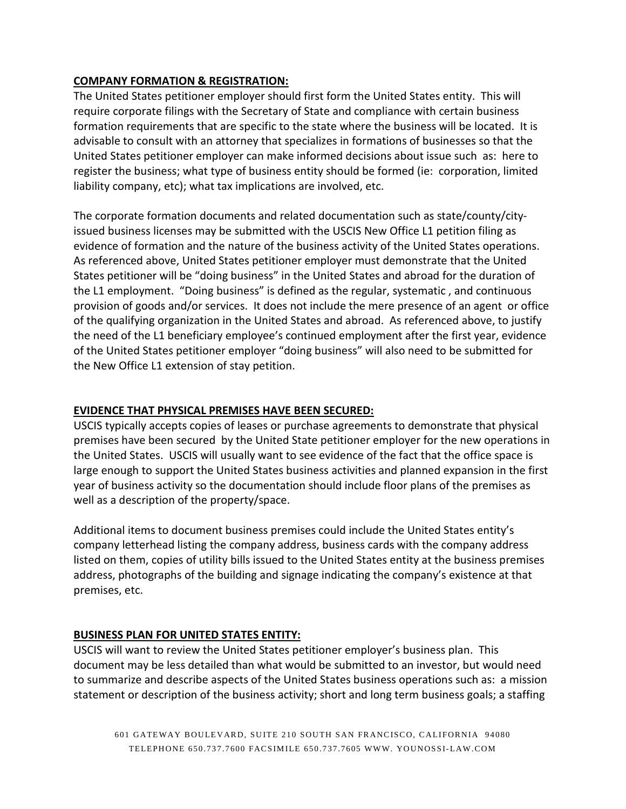#### **COMPANY FORMATION & REGISTRATION:**

The United States petitioner employer should first form the United States entity. This will require corporate filings with the Secretary of State and compliance with certain business formation requirements that are specific to the state where the business will be located. It is advisable to consult with an attorney that specializes in formations of businesses so that the United States petitioner employer can make informed decisions about issue such as: here to register the business; what type of business entity should be formed (ie: corporation, limited liability company, etc); what tax implications are involved, etc.

The corporate formation documents and related documentation such as state/county/cityissued business licenses may be submitted with the USCIS New Office L1 petition filing as evidence of formation and the nature of the business activity of the United States operations. As referenced above, United States petitioner employer must demonstrate that the United States petitioner will be "doing business" in the United States and abroad for the duration of the L1 employment. "Doing business" is defined as the regular, systematic , and continuous provision of goods and/or services. It does not include the mere presence of an agent or office of the qualifying organization in the United States and abroad. As referenced above, to justify the need of the L1 beneficiary employee's continued employment after the first year, evidence of the United States petitioner employer "doing business" will also need to be submitted for the New Office L1 extension of stay petition.

#### **EVIDENCE THAT PHYSICAL PREMISES HAVE BEEN SECURED:**

USCIS typically accepts copies of leases or purchase agreements to demonstrate that physical premises have been secured by the United State petitioner employer for the new operations in the United States. USCIS will usually want to see evidence of the fact that the office space is large enough to support the United States business activities and planned expansion in the first year of business activity so the documentation should include floor plans of the premises as well as a description of the property/space.

Additional items to document business premises could include the United States entity's company letterhead listing the company address, business cards with the company address listed on them, copies of utility bills issued to the United States entity at the business premises address, photographs of the building and signage indicating the company's existence at that premises, etc.

#### **BUSINESS PLAN FOR UNITED STATES ENTITY:**

USCIS will want to review the United States petitioner employer's business plan. This document may be less detailed than what would be submitted to an investor, but would need to summarize and describe aspects of the United States business operations such as: a mission statement or description of the business activity; short and long term business goals; a staffing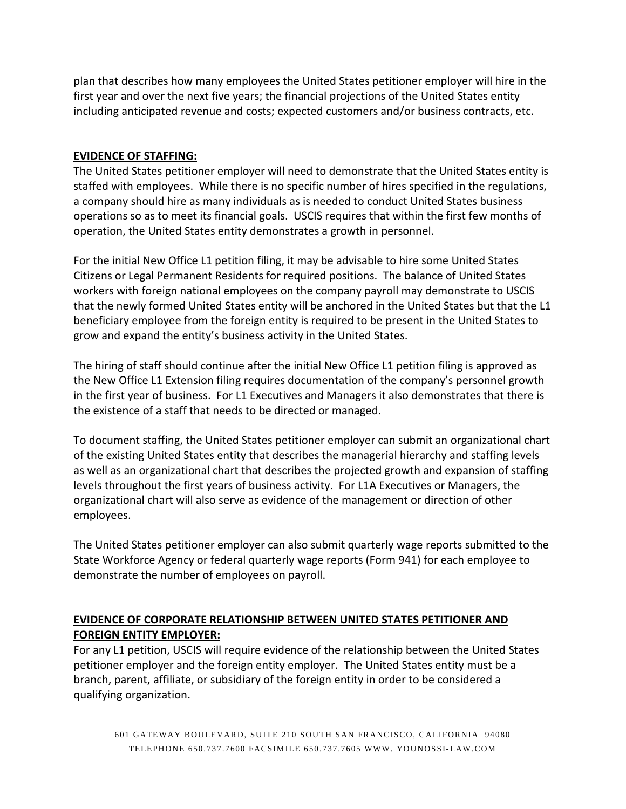plan that describes how many employees the United States petitioner employer will hire in the first year and over the next five years; the financial projections of the United States entity including anticipated revenue and costs; expected customers and/or business contracts, etc.

#### **EVIDENCE OF STAFFING:**

The United States petitioner employer will need to demonstrate that the United States entity is staffed with employees. While there is no specific number of hires specified in the regulations, a company should hire as many individuals as is needed to conduct United States business operations so as to meet its financial goals. USCIS requires that within the first few months of operation, the United States entity demonstrates a growth in personnel.

For the initial New Office L1 petition filing, it may be advisable to hire some United States Citizens or Legal Permanent Residents for required positions. The balance of United States workers with foreign national employees on the company payroll may demonstrate to USCIS that the newly formed United States entity will be anchored in the United States but that the L1 beneficiary employee from the foreign entity is required to be present in the United States to grow and expand the entity's business activity in the United States.

The hiring of staff should continue after the initial New Office L1 petition filing is approved as the New Office L1 Extension filing requires documentation of the company's personnel growth in the first year of business. For L1 Executives and Managers it also demonstrates that there is the existence of a staff that needs to be directed or managed.

To document staffing, the United States petitioner employer can submit an organizational chart of the existing United States entity that describes the managerial hierarchy and staffing levels as well as an organizational chart that describes the projected growth and expansion of staffing levels throughout the first years of business activity. For L1A Executives or Managers, the organizational chart will also serve as evidence of the management or direction of other employees.

The United States petitioner employer can also submit quarterly wage reports submitted to the State Workforce Agency or federal quarterly wage reports (Form 941) for each employee to demonstrate the number of employees on payroll.

#### **EVIDENCE OF CORPORATE RELATIONSHIP BETWEEN UNITED STATES PETITIONER AND FOREIGN ENTITY EMPLOYER:**

For any L1 petition, USCIS will require evidence of the relationship between the United States petitioner employer and the foreign entity employer. The United States entity must be a branch, parent, affiliate, or subsidiary of the foreign entity in order to be considered a qualifying organization.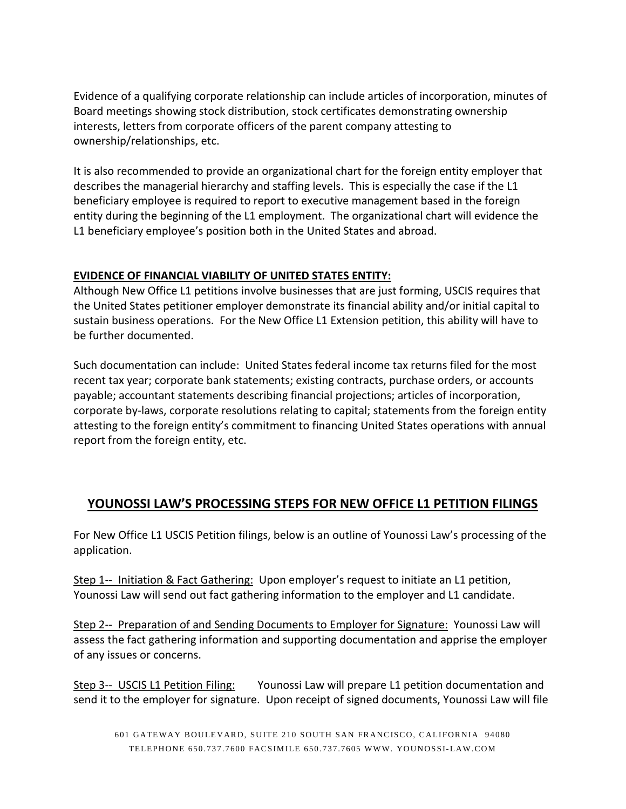Evidence of a qualifying corporate relationship can include articles of incorporation, minutes of Board meetings showing stock distribution, stock certificates demonstrating ownership interests, letters from corporate officers of the parent company attesting to ownership/relationships, etc.

It is also recommended to provide an organizational chart for the foreign entity employer that describes the managerial hierarchy and staffing levels. This is especially the case if the L1 beneficiary employee is required to report to executive management based in the foreign entity during the beginning of the L1 employment. The organizational chart will evidence the L1 beneficiary employee's position both in the United States and abroad.

#### **EVIDENCE OF FINANCIAL VIABILITY OF UNITED STATES ENTITY:**

Although New Office L1 petitions involve businesses that are just forming, USCIS requires that the United States petitioner employer demonstrate its financial ability and/or initial capital to sustain business operations. For the New Office L1 Extension petition, this ability will have to be further documented.

Such documentation can include: United States federal income tax returns filed for the most recent tax year; corporate bank statements; existing contracts, purchase orders, or accounts payable; accountant statements describing financial projections; articles of incorporation, corporate by-laws, corporate resolutions relating to capital; statements from the foreign entity attesting to the foreign entity's commitment to financing United States operations with annual report from the foreign entity, etc.

## **YOUNOSSI LAW'S PROCESSING STEPS FOR NEW OFFICE L1 PETITION FILINGS**

For New Office L1 USCIS Petition filings, below is an outline of Younossi Law's processing of the application.

Step 1-- Initiation & Fact Gathering: Upon employer's request to initiate an L1 petition, Younossi Law will send out fact gathering information to the employer and L1 candidate.

Step 2-- Preparation of and Sending Documents to Employer for Signature: Younossi Law will assess the fact gathering information and supporting documentation and apprise the employer of any issues or concerns.

Step 3-- USCIS L1 Petition Filing: Younossi Law will prepare L1 petition documentation and send it to the employer for signature. Upon receipt of signed documents, Younossi Law will file